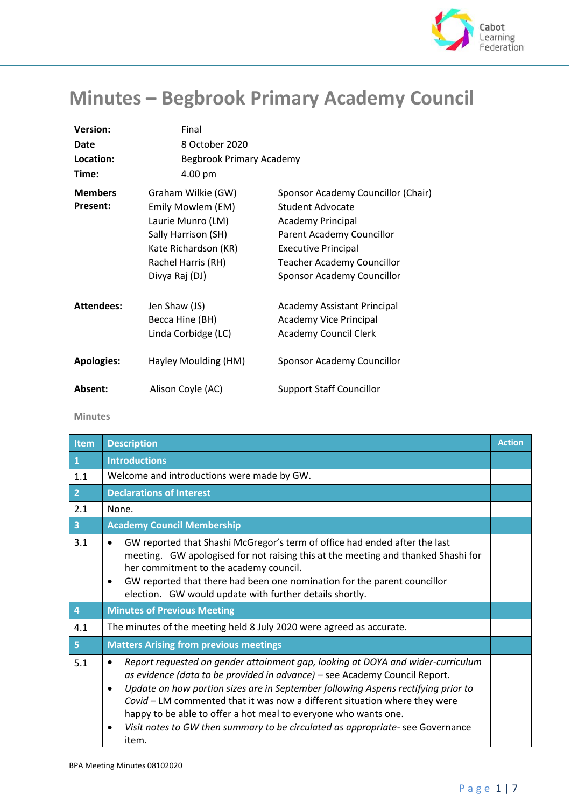

## **Minutes – Begbrook Primary Academy Council**

| <b>Version:</b>   | Final                           |                                    |
|-------------------|---------------------------------|------------------------------------|
| Date              | 8 October 2020                  |                                    |
| Location:         | <b>Begbrook Primary Academy</b> |                                    |
| Time:             | 4.00 pm                         |                                    |
| <b>Members</b>    | Graham Wilkie (GW)              | Sponsor Academy Councillor (Chair) |
| <b>Present:</b>   | Emily Mowlem (EM)               | <b>Student Advocate</b>            |
|                   | Laurie Munro (LM)               | <b>Academy Principal</b>           |
|                   | Sally Harrison (SH)             | Parent Academy Councillor          |
|                   | Kate Richardson (KR)            | <b>Executive Principal</b>         |
|                   | Rachel Harris (RH)              | <b>Teacher Academy Councillor</b>  |
|                   | Divya Raj (DJ)                  | Sponsor Academy Councillor         |
| <b>Attendees:</b> | Jen Shaw (JS)                   | <b>Academy Assistant Principal</b> |
|                   | Becca Hine (BH)                 | <b>Academy Vice Principal</b>      |
|                   | Linda Corbidge (LC)             | <b>Academy Council Clerk</b>       |
| <b>Apologies:</b> | Hayley Moulding (HM)            | Sponsor Academy Councillor         |
| Absent:           | Alison Coyle (AC)               | <b>Support Staff Councillor</b>    |
|                   |                                 |                                    |

 **Minutes**

| Item           | <b>Description</b>                                                                                                                                                                                                                                                                                                                                                                                                                                                                                                            | <b>Action</b> |
|----------------|-------------------------------------------------------------------------------------------------------------------------------------------------------------------------------------------------------------------------------------------------------------------------------------------------------------------------------------------------------------------------------------------------------------------------------------------------------------------------------------------------------------------------------|---------------|
| $\mathbf{1}$   | <b>Introductions</b>                                                                                                                                                                                                                                                                                                                                                                                                                                                                                                          |               |
| 1.1            | Welcome and introductions were made by GW.                                                                                                                                                                                                                                                                                                                                                                                                                                                                                    |               |
| 2 <sup>1</sup> | <b>Declarations of Interest</b>                                                                                                                                                                                                                                                                                                                                                                                                                                                                                               |               |
| 2.1            | None.                                                                                                                                                                                                                                                                                                                                                                                                                                                                                                                         |               |
| $\overline{3}$ | <b>Academy Council Membership</b>                                                                                                                                                                                                                                                                                                                                                                                                                                                                                             |               |
| 3.1            | GW reported that Shashi McGregor's term of office had ended after the last<br>$\bullet$<br>meeting. GW apologised for not raising this at the meeting and thanked Shashi for<br>her commitment to the academy council.<br>GW reported that there had been one nomination for the parent councillor<br>$\bullet$<br>election. GW would update with further details shortly.                                                                                                                                                    |               |
| $\overline{4}$ | <b>Minutes of Previous Meeting</b>                                                                                                                                                                                                                                                                                                                                                                                                                                                                                            |               |
| 4.1            | The minutes of the meeting held 8 July 2020 were agreed as accurate.                                                                                                                                                                                                                                                                                                                                                                                                                                                          |               |
| 5 <sup>1</sup> | <b>Matters Arising from previous meetings</b>                                                                                                                                                                                                                                                                                                                                                                                                                                                                                 |               |
| 5.1            | Report requested on gender attainment gap, looking at DOYA and wider-curriculum<br>$\bullet$<br>as evidence (data to be provided in advance) - see Academy Council Report.<br>Update on how portion sizes are in September following Aspens rectifying prior to<br>$\bullet$<br>Covid - LM commented that it was now a different situation where they were<br>happy to be able to offer a hot meal to everyone who wants one.<br>Visit notes to GW then summary to be circulated as appropriate- see Governance<br>٠<br>item. |               |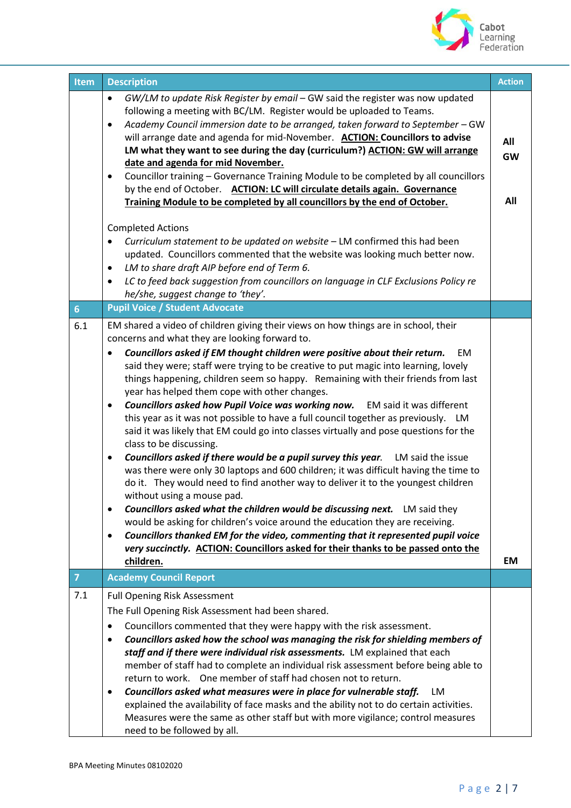

| <b>Item</b>    | <b>Description</b>                                                                                                                                                                                                                                                                                                                                                                                                                                                                                                                                                                                                                                                                                                                                                                                                                                                                                                                                                                                                                                                                                                                                                                                                                                                                                                                                                                                                                                          | <b>Action</b>           |
|----------------|-------------------------------------------------------------------------------------------------------------------------------------------------------------------------------------------------------------------------------------------------------------------------------------------------------------------------------------------------------------------------------------------------------------------------------------------------------------------------------------------------------------------------------------------------------------------------------------------------------------------------------------------------------------------------------------------------------------------------------------------------------------------------------------------------------------------------------------------------------------------------------------------------------------------------------------------------------------------------------------------------------------------------------------------------------------------------------------------------------------------------------------------------------------------------------------------------------------------------------------------------------------------------------------------------------------------------------------------------------------------------------------------------------------------------------------------------------------|-------------------------|
|                | GW/LM to update Risk Register by email - GW said the register was now updated<br>$\bullet$<br>following a meeting with BC/LM. Register would be uploaded to Teams.<br>Academy Council immersion date to be arranged, taken forward to September - GW<br>$\bullet$<br>will arrange date and agenda for mid-November. ACTION: Councillors to advise<br>LM what they want to see during the day (curriculum?) ACTION: GW will arrange<br>date and agenda for mid November.<br>Councillor training - Governance Training Module to be completed by all councillors<br>$\bullet$<br>by the end of October. ACTION: LC will circulate details again. Governance<br>Training Module to be completed by all councillors by the end of October.<br><b>Completed Actions</b><br>Curriculum statement to be updated on website - LM confirmed this had been<br>$\bullet$<br>updated. Councillors commented that the website was looking much better now.<br>LM to share draft AIP before end of Term 6.<br>$\bullet$<br>LC to feed back suggestion from councillors on language in CLF Exclusions Policy re<br>$\bullet$<br>he/she, suggest change to 'they'.                                                                                                                                                                                                                                                                                                          | All<br><b>GW</b><br>All |
| 6 <sup>1</sup> | <b>Pupil Voice / Student Advocate</b>                                                                                                                                                                                                                                                                                                                                                                                                                                                                                                                                                                                                                                                                                                                                                                                                                                                                                                                                                                                                                                                                                                                                                                                                                                                                                                                                                                                                                       |                         |
| 6.1            | EM shared a video of children giving their views on how things are in school, their<br>concerns and what they are looking forward to.<br>Councillors asked if EM thought children were positive about their return.<br>EM.<br>said they were; staff were trying to be creative to put magic into learning, lovely<br>things happening, children seem so happy. Remaining with their friends from last<br>year has helped them cope with other changes.<br>Councillors asked how Pupil Voice was working now.<br>EM said it was different<br>$\bullet$<br>this year as it was not possible to have a full council together as previously. LM<br>said it was likely that EM could go into classes virtually and pose questions for the<br>class to be discussing.<br>Councillors asked if there would be a pupil survey this year.<br>LM said the issue<br>٠<br>was there were only 30 laptops and 600 children; it was difficult having the time to<br>do it. They would need to find another way to deliver it to the youngest children<br>without using a mouse pad.<br><b>Councillors asked what the children would be discussing next.</b> LM said they<br>$\bullet$<br>would be asking for children's voice around the education they are receiving.<br>Councillors thanked EM for the video, commenting that it represented pupil voice<br>$\bullet$<br>very succinctly. ACTION: Councillors asked for their thanks to be passed onto the<br>children. | <b>EM</b>               |
| $\overline{7}$ | <b>Academy Council Report</b>                                                                                                                                                                                                                                                                                                                                                                                                                                                                                                                                                                                                                                                                                                                                                                                                                                                                                                                                                                                                                                                                                                                                                                                                                                                                                                                                                                                                                               |                         |
| 7.1            | <b>Full Opening Risk Assessment</b><br>The Full Opening Risk Assessment had been shared.<br>Councillors commented that they were happy with the risk assessment.<br>$\bullet$<br>Councillors asked how the school was managing the risk for shielding members of<br>$\bullet$<br>staff and if there were individual risk assessments. LM explained that each<br>member of staff had to complete an individual risk assessment before being able to<br>return to work. One member of staff had chosen not to return.<br>Councillors asked what measures were in place for vulnerable staff.<br><b>LM</b><br>٠<br>explained the availability of face masks and the ability not to do certain activities.<br>Measures were the same as other staff but with more vigilance; control measures                                                                                                                                                                                                                                                                                                                                                                                                                                                                                                                                                                                                                                                                   |                         |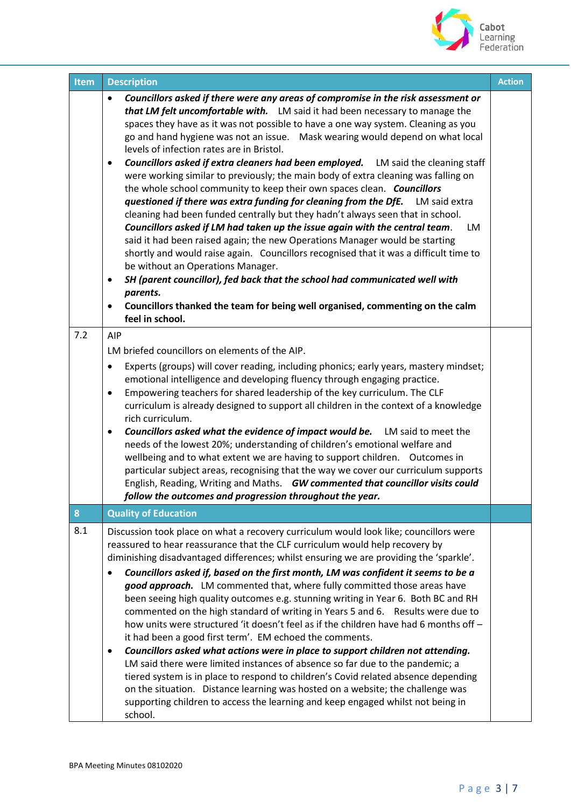

| <b>Item</b> | <b>Description</b>                                                                                                                                                                                                                                                                                                                                                                                                                                                                                                                                                                                                                                                                                                                                                                                                                                                                                                                                                                                                                                                                                                                                                                                                                                                                                                                                               | <b>Action</b> |
|-------------|------------------------------------------------------------------------------------------------------------------------------------------------------------------------------------------------------------------------------------------------------------------------------------------------------------------------------------------------------------------------------------------------------------------------------------------------------------------------------------------------------------------------------------------------------------------------------------------------------------------------------------------------------------------------------------------------------------------------------------------------------------------------------------------------------------------------------------------------------------------------------------------------------------------------------------------------------------------------------------------------------------------------------------------------------------------------------------------------------------------------------------------------------------------------------------------------------------------------------------------------------------------------------------------------------------------------------------------------------------------|---------------|
|             | Councillors asked if there were any areas of compromise in the risk assessment or<br>that LM felt uncomfortable with. LM said it had been necessary to manage the<br>spaces they have as it was not possible to have a one way system. Cleaning as you<br>go and hand hygiene was not an issue.  Mask wearing would depend on what local<br>levels of infection rates are in Bristol.<br><b>Councillors asked if extra cleaners had been employed.</b> LM said the cleaning staff<br>$\bullet$<br>were working similar to previously; the main body of extra cleaning was falling on<br>the whole school community to keep their own spaces clean. Councillors<br>questioned if there was extra funding for cleaning from the DfE.<br>LM said extra<br>cleaning had been funded centrally but they hadn't always seen that in school.<br>Councillors asked if LM had taken up the issue again with the central team.<br>LM<br>said it had been raised again; the new Operations Manager would be starting<br>shortly and would raise again. Councillors recognised that it was a difficult time to<br>be without an Operations Manager.<br>SH (parent councillor), fed back that the school had communicated well with<br>$\bullet$<br>parents.<br>Councillors thanked the team for being well organised, commenting on the calm<br>$\bullet$<br>feel in school. |               |
| 7.2         | AIP<br>LM briefed councillors on elements of the AIP.<br>Experts (groups) will cover reading, including phonics; early years, mastery mindset;<br>$\bullet$<br>emotional intelligence and developing fluency through engaging practice.<br>Empowering teachers for shared leadership of the key curriculum. The CLF<br>$\bullet$<br>curriculum is already designed to support all children in the context of a knowledge<br>rich curriculum.<br><b>Councillors asked what the evidence of impact would be.</b> LM said to meet the<br>$\bullet$<br>needs of the lowest 20%; understanding of children's emotional welfare and<br>wellbeing and to what extent we are having to support children.  Outcomes in<br>particular subject areas, recognising that the way we cover our curriculum supports<br>English, Reading, Writing and Maths. GW commented that councillor visits could<br>follow the outcomes and progression throughout the year.                                                                                                                                                                                                                                                                                                                                                                                                               |               |
| 8           | <b>Quality of Education</b>                                                                                                                                                                                                                                                                                                                                                                                                                                                                                                                                                                                                                                                                                                                                                                                                                                                                                                                                                                                                                                                                                                                                                                                                                                                                                                                                      |               |
| 8.1         | Discussion took place on what a recovery curriculum would look like; councillors were<br>reassured to hear reassurance that the CLF curriculum would help recovery by<br>diminishing disadvantaged differences; whilst ensuring we are providing the 'sparkle'.<br>Councillors asked if, based on the first month, LM was confident it seems to be a<br>good approach. LM commented that, where fully committed those areas have<br>been seeing high quality outcomes e.g. stunning writing in Year 6. Both BC and RH<br>commented on the high standard of writing in Years 5 and 6. Results were due to<br>how units were structured 'it doesn't feel as if the children have had 6 months off -<br>it had been a good first term'. EM echoed the comments.<br>Councillors asked what actions were in place to support children not attending.<br>$\bullet$<br>LM said there were limited instances of absence so far due to the pandemic; a<br>tiered system is in place to respond to children's Covid related absence depending<br>on the situation. Distance learning was hosted on a website; the challenge was<br>supporting children to access the learning and keep engaged whilst not being in<br>school.                                                                                                                                              |               |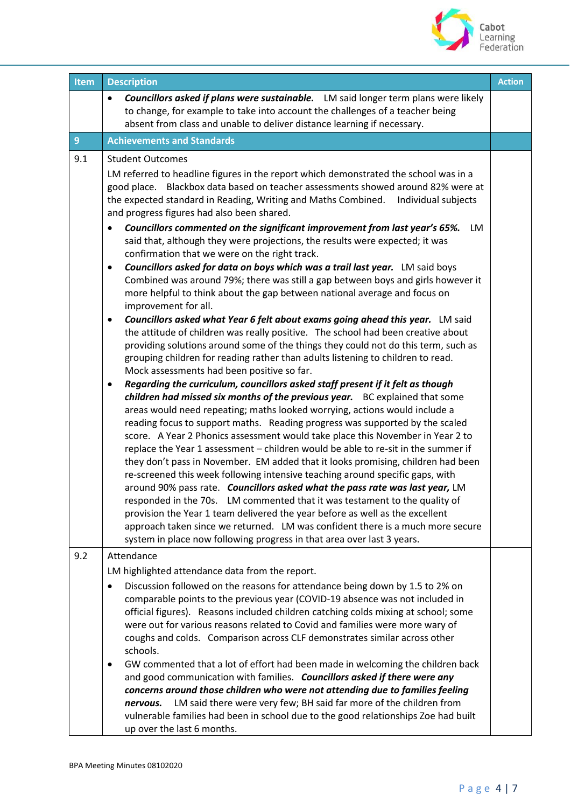

| <b>Item</b>    | <b>Description</b>                                                                                                                                                                                                                                                                                                                                                                                                                                                                                                                                                                                                                                                                                                                                                                                                                                                                                                                                                                                                                                                                                                                                                                                                                                                                                                                                                                                                                                                                                                                                                                                                                                                                                                                                                                                                                                                                                                                                                                                                                                                                                                                                                                                                                                                                                                                           | <b>Action</b> |
|----------------|----------------------------------------------------------------------------------------------------------------------------------------------------------------------------------------------------------------------------------------------------------------------------------------------------------------------------------------------------------------------------------------------------------------------------------------------------------------------------------------------------------------------------------------------------------------------------------------------------------------------------------------------------------------------------------------------------------------------------------------------------------------------------------------------------------------------------------------------------------------------------------------------------------------------------------------------------------------------------------------------------------------------------------------------------------------------------------------------------------------------------------------------------------------------------------------------------------------------------------------------------------------------------------------------------------------------------------------------------------------------------------------------------------------------------------------------------------------------------------------------------------------------------------------------------------------------------------------------------------------------------------------------------------------------------------------------------------------------------------------------------------------------------------------------------------------------------------------------------------------------------------------------------------------------------------------------------------------------------------------------------------------------------------------------------------------------------------------------------------------------------------------------------------------------------------------------------------------------------------------------------------------------------------------------------------------------------------------------|---------------|
|                | Councillors asked if plans were sustainable. LM said longer term plans were likely<br>to change, for example to take into account the challenges of a teacher being<br>absent from class and unable to deliver distance learning if necessary.                                                                                                                                                                                                                                                                                                                                                                                                                                                                                                                                                                                                                                                                                                                                                                                                                                                                                                                                                                                                                                                                                                                                                                                                                                                                                                                                                                                                                                                                                                                                                                                                                                                                                                                                                                                                                                                                                                                                                                                                                                                                                               |               |
| 9 <sup>°</sup> | <b>Achievements and Standards</b>                                                                                                                                                                                                                                                                                                                                                                                                                                                                                                                                                                                                                                                                                                                                                                                                                                                                                                                                                                                                                                                                                                                                                                                                                                                                                                                                                                                                                                                                                                                                                                                                                                                                                                                                                                                                                                                                                                                                                                                                                                                                                                                                                                                                                                                                                                            |               |
| 9.1            | <b>Student Outcomes</b><br>LM referred to headline figures in the report which demonstrated the school was in a<br>good place. Blackbox data based on teacher assessments showed around 82% were at<br>the expected standard in Reading, Writing and Maths Combined. Individual subjects<br>and progress figures had also been shared.<br>Councillors commented on the significant improvement from last year's 65%.<br>LM<br>said that, although they were projections, the results were expected; it was<br>confirmation that we were on the right track.<br>Councillors asked for data on boys which was a trail last year. LM said boys<br>٠<br>Combined was around 79%; there was still a gap between boys and girls however it<br>more helpful to think about the gap between national average and focus on<br>improvement for all.<br>Councillors asked what Year 6 felt about exams going ahead this year. LM said<br>$\bullet$<br>the attitude of children was really positive. The school had been creative about<br>providing solutions around some of the things they could not do this term, such as<br>grouping children for reading rather than adults listening to children to read.<br>Mock assessments had been positive so far.<br>Regarding the curriculum, councillors asked staff present if it felt as though<br>٠<br>children had missed six months of the previous year. BC explained that some<br>areas would need repeating; maths looked worrying, actions would include a<br>reading focus to support maths. Reading progress was supported by the scaled<br>score. A Year 2 Phonics assessment would take place this November in Year 2 to<br>replace the Year 1 assessment - children would be able to re-sit in the summer if<br>they don't pass in November. EM added that it looks promising, children had been<br>re-screened this week following intensive teaching around specific gaps, with<br>around 90% pass rate. Councillors asked what the pass rate was last year, LM<br>responded in the 70s. LM commented that it was testament to the quality of<br>provision the Year 1 team delivered the year before as well as the excellent<br>approach taken since we returned. LM was confident there is a much more secure<br>system in place now following progress in that area over last 3 years. |               |
| 9.2            | Attendance<br>LM highlighted attendance data from the report.<br>Discussion followed on the reasons for attendance being down by 1.5 to 2% on<br>$\bullet$<br>comparable points to the previous year (COVID-19 absence was not included in<br>official figures). Reasons included children catching colds mixing at school; some<br>were out for various reasons related to Covid and families were more wary of<br>coughs and colds. Comparison across CLF demonstrates similar across other<br>schools.<br>GW commented that a lot of effort had been made in welcoming the children back<br>and good communication with families. Councillors asked if there were any<br>concerns around those children who were not attending due to families feeling<br>LM said there were very few; BH said far more of the children from<br>nervous.<br>vulnerable families had been in school due to the good relationships Zoe had built<br>up over the last 6 months.                                                                                                                                                                                                                                                                                                                                                                                                                                                                                                                                                                                                                                                                                                                                                                                                                                                                                                                                                                                                                                                                                                                                                                                                                                                                                                                                                                              |               |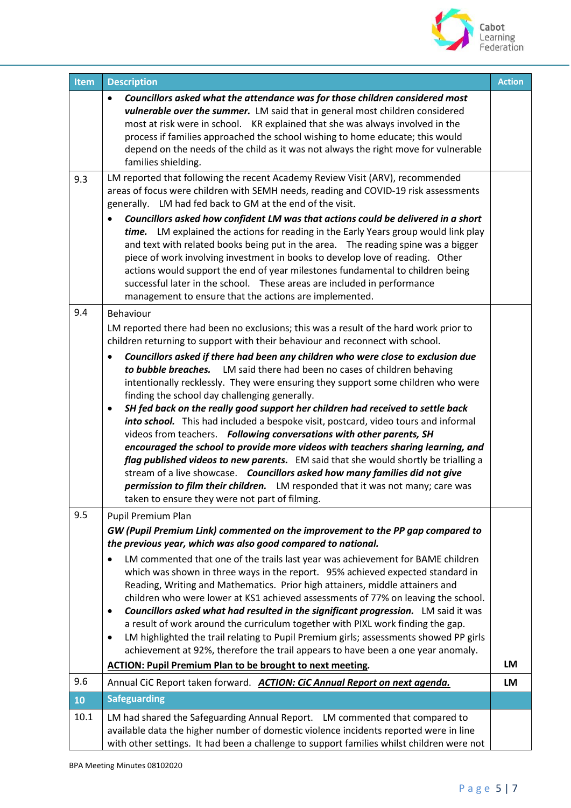

| Item | <b>Description</b>                                                                                                                                                                                                                                                                                                                                                                                                                                                                                                                                                                                                                                                                                                                                                                                                                                                                                                                                                                                                                                                                                                                      | <b>Action</b> |
|------|-----------------------------------------------------------------------------------------------------------------------------------------------------------------------------------------------------------------------------------------------------------------------------------------------------------------------------------------------------------------------------------------------------------------------------------------------------------------------------------------------------------------------------------------------------------------------------------------------------------------------------------------------------------------------------------------------------------------------------------------------------------------------------------------------------------------------------------------------------------------------------------------------------------------------------------------------------------------------------------------------------------------------------------------------------------------------------------------------------------------------------------------|---------------|
|      | Councillors asked what the attendance was for those children considered most<br>$\bullet$<br>vulnerable over the summer. LM said that in general most children considered<br>most at risk were in school. KR explained that she was always involved in the<br>process if families approached the school wishing to home educate; this would<br>depend on the needs of the child as it was not always the right move for vulnerable<br>families shielding.                                                                                                                                                                                                                                                                                                                                                                                                                                                                                                                                                                                                                                                                               |               |
| 9.3  | LM reported that following the recent Academy Review Visit (ARV), recommended<br>areas of focus were children with SEMH needs, reading and COVID-19 risk assessments<br>generally. LM had fed back to GM at the end of the visit.<br>Councillors asked how confident LM was that actions could be delivered in a short<br>time. LM explained the actions for reading in the Early Years group would link play<br>and text with related books being put in the area.  The reading spine was a bigger<br>piece of work involving investment in books to develop love of reading. Other<br>actions would support the end of year milestones fundamental to children being<br>successful later in the school.  These areas are included in performance<br>management to ensure that the actions are implemented.                                                                                                                                                                                                                                                                                                                            |               |
| 9.4  | Behaviour<br>LM reported there had been no exclusions; this was a result of the hard work prior to<br>children returning to support with their behaviour and reconnect with school.<br>Councillors asked if there had been any children who were close to exclusion due<br>to bubble breaches. LM said there had been no cases of children behaving<br>intentionally recklessly. They were ensuring they support some children who were<br>finding the school day challenging generally.<br>SH fed back on the really good support her children had received to settle back<br>into school. This had included a bespoke visit, postcard, video tours and informal<br>videos from teachers. Following conversations with other parents, SH<br>encouraged the school to provide more videos with teachers sharing learning, and<br>flag published videos to new parents. EM said that she would shortly be trialling a<br>stream of a live showcase. Councillors asked how many families did not give<br>permission to film their children. LM responded that it was not many; care was<br>taken to ensure they were not part of filming. |               |
| 9.5  | Pupil Premium Plan<br>GW (Pupil Premium Link) commented on the improvement to the PP gap compared to<br>the previous year, which was also good compared to national.<br>LM commented that one of the trails last year was achievement for BAME children<br>which was shown in three ways in the report. 95% achieved expected standard in<br>Reading, Writing and Mathematics. Prior high attainers, middle attainers and<br>children who were lower at KS1 achieved assessments of 77% on leaving the school.<br>Councillors asked what had resulted in the significant progression. LM said it was<br>a result of work around the curriculum together with PIXL work finding the gap.<br>LM highlighted the trail relating to Pupil Premium girls; assessments showed PP girls<br>$\bullet$<br>achievement at 92%, therefore the trail appears to have been a one year anomaly.<br><b>ACTION: Pupil Premium Plan to be brought to next meeting.</b>                                                                                                                                                                                   | LM            |
| 9.6  | Annual CiC Report taken forward. ACTION: CiC Annual Report on next agenda.                                                                                                                                                                                                                                                                                                                                                                                                                                                                                                                                                                                                                                                                                                                                                                                                                                                                                                                                                                                                                                                              | <b>LM</b>     |
| 10   | <b>Safeguarding</b>                                                                                                                                                                                                                                                                                                                                                                                                                                                                                                                                                                                                                                                                                                                                                                                                                                                                                                                                                                                                                                                                                                                     |               |
| 10.1 | LM had shared the Safeguarding Annual Report. LM commented that compared to<br>available data the higher number of domestic violence incidents reported were in line<br>with other settings. It had been a challenge to support families whilst children were not                                                                                                                                                                                                                                                                                                                                                                                                                                                                                                                                                                                                                                                                                                                                                                                                                                                                       |               |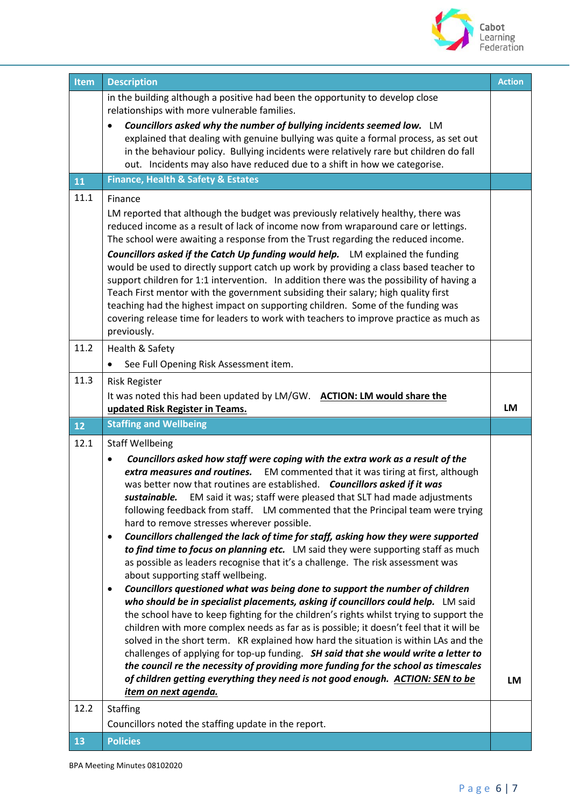

| Item | <b>Description</b>                                                                                                                                                             | <b>Action</b> |
|------|--------------------------------------------------------------------------------------------------------------------------------------------------------------------------------|---------------|
|      | in the building although a positive had been the opportunity to develop close                                                                                                  |               |
|      | relationships with more vulnerable families.                                                                                                                                   |               |
|      | Councillors asked why the number of bullying incidents seemed low. LM<br>explained that dealing with genuine bullying was quite a formal process, as set out                   |               |
|      | in the behaviour policy. Bullying incidents were relatively rare but children do fall                                                                                          |               |
|      | out. Incidents may also have reduced due to a shift in how we categorise.                                                                                                      |               |
| 11   | <b>Finance, Health &amp; Safety &amp; Estates</b>                                                                                                                              |               |
| 11.1 | Finance                                                                                                                                                                        |               |
|      | LM reported that although the budget was previously relatively healthy, there was                                                                                              |               |
|      | reduced income as a result of lack of income now from wraparound care or lettings.<br>The school were awaiting a response from the Trust regarding the reduced income.         |               |
|      | <b>Councillors asked if the Catch Up funding would help.</b> LM explained the funding                                                                                          |               |
|      | would be used to directly support catch up work by providing a class based teacher to                                                                                          |               |
|      | support children for 1:1 intervention. In addition there was the possibility of having a                                                                                       |               |
|      | Teach First mentor with the government subsiding their salary; high quality first<br>teaching had the highest impact on supporting children. Some of the funding was           |               |
|      | covering release time for leaders to work with teachers to improve practice as much as                                                                                         |               |
|      | previously.                                                                                                                                                                    |               |
| 11.2 | Health & Safety                                                                                                                                                                |               |
|      | See Full Opening Risk Assessment item.<br>٠                                                                                                                                    |               |
| 11.3 | <b>Risk Register</b>                                                                                                                                                           |               |
|      | It was noted this had been updated by LM/GW. ACTION: LM would share the                                                                                                        | LM            |
|      | updated Risk Register in Teams.                                                                                                                                                |               |
|      |                                                                                                                                                                                |               |
| 12   | <b>Staffing and Wellbeing</b>                                                                                                                                                  |               |
| 12.1 | <b>Staff Wellbeing</b>                                                                                                                                                         |               |
|      | Councillors asked how staff were coping with the extra work as a result of the<br>extra measures and routines.                                                                 |               |
|      | EM commented that it was tiring at first, although<br>was better now that routines are established. Councillors asked if it was                                                |               |
|      | EM said it was; staff were pleased that SLT had made adjustments<br>sustainable.                                                                                               |               |
|      | following feedback from staff. LM commented that the Principal team were trying                                                                                                |               |
|      | hard to remove stresses wherever possible.<br>$\bullet$                                                                                                                        |               |
|      | Councillors challenged the lack of time for staff, asking how they were supported<br>to find time to focus on planning etc. LM said they were supporting staff as much         |               |
|      | as possible as leaders recognise that it's a challenge. The risk assessment was                                                                                                |               |
|      | about supporting staff wellbeing.                                                                                                                                              |               |
|      | Councillors questioned what was being done to support the number of children<br>$\bullet$<br>who should be in specialist placements, asking if councillors could help. LM said |               |
|      | the school have to keep fighting for the children's rights whilst trying to support the                                                                                        |               |
|      | children with more complex needs as far as is possible; it doesn't feel that it will be                                                                                        |               |
|      | solved in the short term. KR explained how hard the situation is within LAs and the                                                                                            |               |
|      | challenges of applying for top-up funding. SH said that she would write a letter to<br>the council re the necessity of providing more funding for the school as timescales     |               |
|      | of children getting everything they need is not good enough. ACTION: SEN to be                                                                                                 | LM            |
|      | item on next agenda.                                                                                                                                                           |               |
| 12.2 | <b>Staffing</b>                                                                                                                                                                |               |
| 13   | Councillors noted the staffing update in the report.<br><b>Policies</b>                                                                                                        |               |